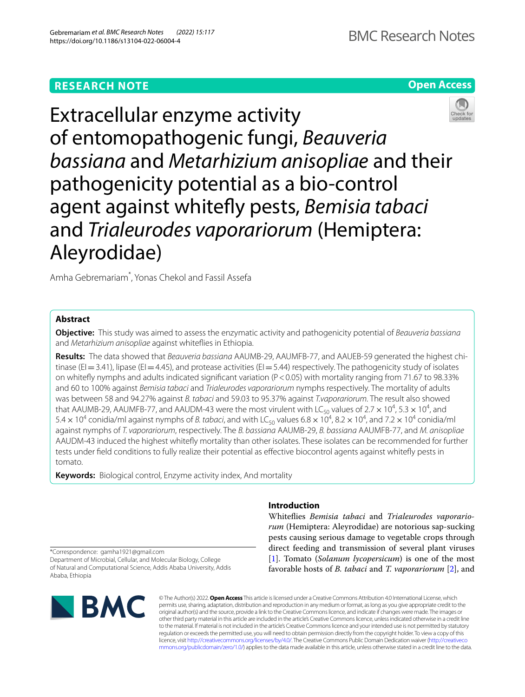# **RESEARCH NOTE**



# Extracellular enzyme activity of entomopathogenic fungi, *Beauveria bassiana* and *Metarhizium anisopliae* and their pathogenicity potential as a bio-control agent against whitefy pests, *Bemisia tabaci* and *Trialeurodes vaporariorum* (Hemiptera: Aleyrodidae)

Amha Gebremariam\* , Yonas Chekol and Fassil Assefa

# **Abstract**

**Objective:** This study was aimed to assess the enzymatic activity and pathogenicity potential of *Beauveria bassiana* and *Metarhizium anisopliae* against whitefies in Ethiopia.

**Results:** The data showed that *Beauveria bassiana* AAUMB-29, AAUMFB-77, and AAUEB-59 generated the highest chitinase (EI=3.41), lipase (EI=4.45), and protease activities (EI=5.44) respectively. The pathogenicity study of isolates on whitefy nymphs and adults indicated signifcant variation (P<0.05) with mortality ranging from 71.67 to 98.33% and 60 to 100% against *Bemisia tabaci* and *Trialeurodes vaporariorum* nymphs respectively. The mortality of adults was between 58 and 94.27% against *B. tabaci* and 59.03 to 95.37% against *T.vaporariorum.* The result also showed that AAUMB-29, AAUMFB-77, and AAUDM-43 were the most virulent with LC<sub>50</sub> values of 2.7  $\times$  10<sup>4</sup>, 5.3  $\times$  10<sup>4</sup>, and  $5.4\times10^4$  conidia/ml against nymphs of *B. tabaci*, and with LC<sub>50</sub> values  $6.8\times10^4$ ,  $8.2\times10^4$ , and  $7.2\times10^4$  conidia/ml against nymphs of *T. vaporariorum*, respectively. The *B. bassiana* AAUMB-29, *B. bassiana* AAUMFB-77, and *M. anisopliae* AAUDM-43 induced the highest whitefy mortality than other isolates. These isolates can be recommended for further tests under feld conditions to fully realize their potential as efective biocontrol agents against whitefy pests in tomato.

**Keywords:** Biological control, Enzyme activity index, And mortality

# **Introduction**

Whitefies *Bemisia tabaci* and *Trialeurodes vaporariorum* (Hemiptera: Aleyrodidae) are notorious sap-sucking pests causing serious damage to vegetable crops through direct feeding and transmission of several plant viruses [[1\]](#page-5-0). Tomato (*Solanum lycopersicum*) is one of the most favorable hosts of *B. tabaci* and *T. vaporariorum* [\[2](#page-5-1)], and

\*Correspondence: gamha1921@gmail.com

Department of Microbial, Cellular, and Molecular Biology, College of Natural and Computational Science, Addis Ababa University, Addis Ababa, Ethiopia



© The Author(s) 2022. **Open Access** This article is licensed under a Creative Commons Attribution 4.0 International License, which permits use, sharing, adaptation, distribution and reproduction in any medium or format, as long as you give appropriate credit to the original author(s) and the source, provide a link to the Creative Commons licence, and indicate if changes were made. The images or other third party material in this article are included in the article's Creative Commons licence, unless indicated otherwise in a credit line to the material. If material is not included in the article's Creative Commons licence and your intended use is not permitted by statutory regulation or exceeds the permitted use, you will need to obtain permission directly from the copyright holder. To view a copy of this licence, visit [http://creativecommons.org/licenses/by/4.0/.](http://creativecommons.org/licenses/by/4.0/) The Creative Commons Public Domain Dedication waiver ([http://creativeco](http://creativecommons.org/publicdomain/zero/1.0/) [mmons.org/publicdomain/zero/1.0/](http://creativecommons.org/publicdomain/zero/1.0/)) applies to the data made available in this article, unless otherwise stated in a credit line to the data.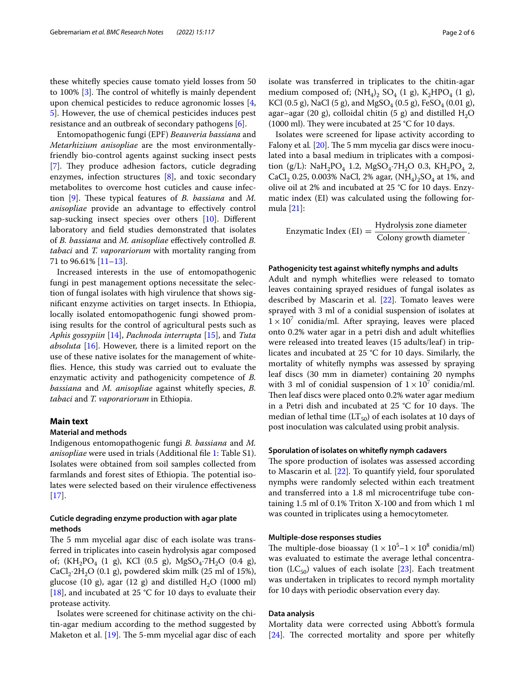these whitefy species cause tomato yield losses from 50 to  $100\%$  [[3\]](#page-5-2). The control of whitefly is mainly dependent upon chemical pesticides to reduce agronomic losses [\[4](#page-5-3), [5\]](#page-5-4). However, the use of chemical pesticides induces pest resistance and an outbreak of secondary pathogens [[6\]](#page-5-5).

Entomopathogenic fungi (EPF) *Beauveria bassiana* and *Metarhizium anisopliae* are the most environmentallyfriendly bio-control agents against sucking insect pests [[7\]](#page-5-6). They produce adhesion factors, cuticle degrading enzymes, infection structures [\[8](#page-5-7)], and toxic secondary metabolites to overcome host cuticles and cause infec-tion [[9\]](#page-5-8). These typical features of *B. bassiana* and *M. anisopliae* provide an advantage to efectively control sap-sucking insect species over others [\[10\]](#page-5-9). Diferent laboratory and feld studies demonstrated that isolates of *B. bassiana* and *M. anisopliae* efectively controlled *B. tabaci* and *T. vaporariorum* with mortality ranging from 71 to 96.61% [[11](#page-5-10)[–13](#page-5-11)].

Increased interests in the use of entomopathogenic fungi in pest management options necessitate the selection of fungal isolates with high virulence that shows signifcant enzyme activities on target insects. In Ethiopia, locally isolated entomopathogenic fungi showed promising results for the control of agricultural pests such as *Aphis gossypiin* [\[14\]](#page-5-12), *Pachnoda interrupta* [[15\]](#page-5-13), and *Tuta absoluta* [\[16](#page-5-14)]. However, there is a limited report on the use of these native isolates for the management of whitefies. Hence, this study was carried out to evaluate the enzymatic activity and pathogenicity competence of *B. bassiana* and *M. anisopliae* against whitefy species, *B. tabaci* and *T. vaporariorum* in Ethiopia.

# **Main text**

#### **Material and methods**

Indigenous entomopathogenic fungi *B. bassiana* and *M. anisopliae* were used in trials (Additional file [1](#page-4-0): Table S1). Isolates were obtained from soil samples collected from farmlands and forest sites of Ethiopia. The potential isolates were selected based on their virulence efectiveness  $[17]$  $[17]$ .

# **Cuticle degrading enzyme production with agar plate methods**

The 5 mm mycelial agar disc of each isolate was transferred in triplicates into casein hydrolysis agar composed of;  $(KH_2PO_4$  (1 g), KCl (0.5 g), MgSO<sub>4</sub>·7H<sub>2</sub>O (0.4 g),  $CaCl<sub>2</sub>·2H<sub>2</sub>O$  (0.1 g), powdered skim milk (25 ml of 15%), glucose (10 g), agar (12 g) and distilled  $H<sub>2</sub>O$  (1000 ml) [[18\]](#page-5-16), and incubated at 25 °C for 10 days to evaluate their protease activity.

Isolates were screened for chitinase activity on the chitin-agar medium according to the method suggested by Maketon et al.  $[19]$  $[19]$ . The 5-mm mycelial agar disc of each isolate was transferred in triplicates to the chitin-agar medium composed of;  $(NH_4)$ ,  $SO_4$  (1 g),  $K_2HPO_4$  (1 g), KCl (0.5 g), NaCl (5 g), and MgSO<sub>4</sub> (0.5 g), FeSO<sub>4</sub> (0.01 g), agar–agar (20 g), colloidal chitin (5 g) and distilled  $H_2O$ (1000 ml). They were incubated at 25 °C for 10 days.

Isolates were screened for lipase activity according to Falony et al. [\[20](#page-5-18)]. The 5 mm mycelia gar discs were inoculated into a basal medium in triplicates with a composition (g/L): NaH<sub>2</sub>PO<sub>4</sub> 1.2, MgSO<sub>4</sub>.7H<sub>2</sub>O 0.3, KH<sub>2</sub>PO<sub>4</sub> 2, CaCl<sub>2</sub> 0.25, 0.003% NaCl, 2% agar,  $(NH_4)_2SO_4$  at 1%, and olive oil at 2% and incubated at 25 °C for 10 days. Enzymatic index (EI) was calculated using the following formula [[21\]](#page-5-19):

Enzymatic Index (EI) =  $\frac{Hydrolysis \text{ zone diameter}}{\text{Colony growth diameter}}$ .

#### **Pathogenicity test against whitefy nymphs and adults**

Adult and nymph whitefies were released to tomato leaves containing sprayed residues of fungal isolates as described by Mascarin et al. [[22\]](#page-5-20). Tomato leaves were sprayed with 3 ml of a conidial suspension of isolates at  $1 \times 10^7$  conidia/ml. After spraying, leaves were placed onto 0.2% water agar in a petri dish and adult whitefies were released into treated leaves (15 adults/leaf) in triplicates and incubated at 25 °C for 10 days. Similarly, the mortality of whitefy nymphs was assessed by spraying leaf discs (30 mm in diameter) containing 20 nymphs with 3 ml of conidial suspension of  $1 \times 10^7$  conidia/ml. Then leaf discs were placed onto 0.2% water agar medium in a Petri dish and incubated at 25  $°C$  for 10 days. The median of lethal time  $(LT_{50})$  of each isolates at 10 days of post inoculation was calculated using probit analysis.

## **Sporulation of isolates on whitefy nymph cadavers**

The spore production of isolates was assessed according to Mascarin et al. [[22](#page-5-20)]. To quantify yield, four sporulated nymphs were randomly selected within each treatment and transferred into a 1.8 ml microcentrifuge tube containing 1.5 ml of 0.1% Triton X-100 and from which 1 ml was counted in triplicates using a hemocytometer.

#### **Multiple‑dose responses studies**

The multiple-dose bioassay  $(1 \times 10^5 - 1 \times 10^8 \text{ conidia/ml})$ was evaluated to estimate the average lethal concentra-tion (LC<sub>50</sub>) values of each isolate [\[23](#page-5-21)]. Each treatment was undertaken in triplicates to record nymph mortality for 10 days with periodic observation every day.

#### **Data analysis**

Mortality data were corrected using Abbott's formula  $[24]$  $[24]$ . The corrected mortality and spore per whitefly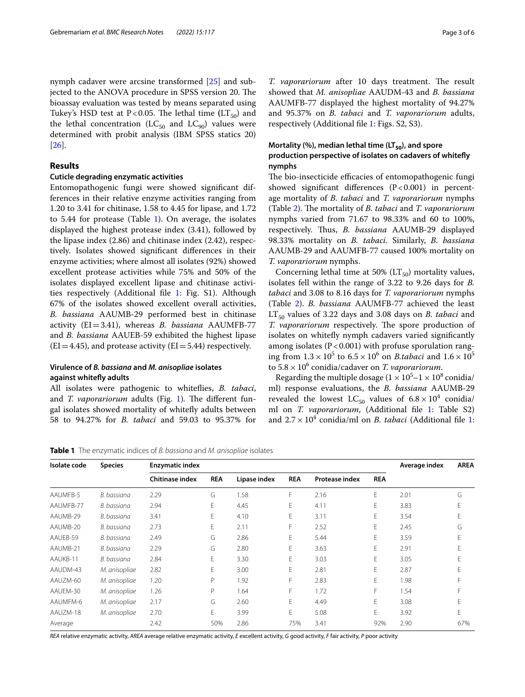nymph cadaver were arcsine transformed [\[25](#page-5-23)] and subjected to the ANOVA procedure in SPSS version 20. The bioassay evaluation was tested by means separated using Tukey's HSD test at P<0.05. The lethal time  $(LT_{50})$  and the lethal concentration ( $LC_{50}$  and  $LC_{90}$ ) values were determined with probit analysis (IBM SPSS statics 20) [[26\]](#page-5-24).

#### **Results**

# **Cuticle degrading enzymatic activities**

Entomopathogenic fungi were showed signifcant differences in their relative enzyme activities ranging from 1.20 to 3.41 for chitinase, 1.58 to 4.45 for lipase, and 1.72 to 5.44 for protease (Table [1](#page-2-0)). On average, the isolates displayed the highest protease index (3.41), followed by the lipase index (2.86) and chitinase index (2.42), respectively. Isolates showed signifcant diferences in their enzyme activities; where almost all isolates (92%) showed excellent protease activities while 75% and 50% of the isolates displayed excellent lipase and chitinase activities respectively (Additional fle [1:](#page-4-0) Fig. S1). Although 67% of the isolates showed excellent overall activities, *B. bassiana* AAUMB-29 performed best in chitinase activity (EI=3.41), whereas *B. bassiana* AAUMFB-77 and *B. bassiana* AAUEB-59 exhibited the highest lipase  $(EI=4.45)$ , and protease activity  $(EI=5.44)$  respectively.

# **Virulence of** *B. bassiana* **and** *M. anisopliae* **isolates against whitefy adults**

All isolates were pathogenic to whitefies, *B. tabaci*, and *T. vaporariorum* adults (Fig. [1](#page-3-0)). The different fungal isolates showed mortality of whitefy adults between 58 to 94.27% for *B. tabaci* and 59.03 to 95.37% for

*T. vaporariorum* after 10 days treatment. The result showed that *M. anisopliae* AAUDM-43 and *B. bassiana* AAUMFB-77 displayed the highest mortality of 94.27% and 95.37% on *B. tabaci* and *T. vaporariorum* adults, respectively (Additional fle [1](#page-4-0): Figs. S2, S3).

# **Mortality (%), median lethal time (LT**<sub>50</sub>), and spore **production perspective of isolates on cadavers of whitefy nymphs**

The bio-insecticide efficacies of entomopathogenic fungi showed significant differences  $(P<0.001)$  in percentage mortality of *B. tabaci* and *T. vaporariorum* nymphs (Table [2\)](#page-3-1). The mortality of *B. tabaci* and *T. vaporariorum* nymphs varied from 71.67 to 98.33% and 60 to 100%, respectively. Thus, *B. bassiana* AAUMB-29 displayed 98.33% mortality on *B. tabaci*. Similarly, *B*. *bassiana* AAUMB-29 and AAUMFB-77 caused 100% mortality on *T. vaporariorum* nymphs.

Concerning lethal time at 50% ( $LT_{50}$ ) mortality values, isolates fell within the range of 3.22 to 9.26 days for *B. tabaci* and 3.08 to 8.16 days for *T. vaporariorum* nymphs (Table [2\)](#page-3-1). *B. bassiana* AAUMFB-77 achieved the least LT<sub>50</sub> values of 3.22 days and 3.08 days on *B. tabaci* and *T. vaporariorum* respectively. The spore production of isolates on whitefy nymph cadavers varied signifcantly among isolates ( $P < 0.001$ ) with profuse sporulation ranging from  $1.3 \times 10^5$  to  $6.5 \times 10^6$  on *B.tabaci* and  $1.6 \times 10^5$ to 5.8× 106 conidia/cadaver on *T. vaporariorum*.

Regarding the multiple dosage ( $1 \times 10^5 - 1 \times 10^8$  conidia/ ml) response evaluations, the *B. bassiana* AAUMB-29 revealed the lowest  $LC_{50}$  values of  $6.8 \times 10^{4}$  conidia/ ml on *T. vaporariorum*, (Additional fle [1](#page-4-0): Table S2) and  $2.7 \times 10^4$  $2.7 \times 10^4$  $2.7 \times 10^4$  conidia/ml on *B. tabaci* (Additional file 1:

<span id="page-2-0"></span>**Table 1** The enzymatic indices of *B. bassiana* and *M. anisopliae* isolates

| Isolate code | <b>Species</b> | <b>Enzymatic index</b> | Average index | <b>AREA</b>  |            |                       |            |      |     |
|--------------|----------------|------------------------|---------------|--------------|------------|-----------------------|------------|------|-----|
|              |                | <b>Chitinase index</b> | <b>REA</b>    | Lipase index | <b>REA</b> | <b>Protease index</b> | <b>REA</b> |      |     |
| AAUMFB-5     | B. bassiana    | 2.29                   | G             | 1.58         | F          | 2.16                  | Е          | 2.01 | G   |
| AAUMFB-77    | B. bassiana    | 2.94                   | E             | 4.45         | E          | 4.11                  | E          | 3.83 |     |
| AAUMB-29     | B. bassiana    | 3.41                   | E             | 4.10         | E          | 3.11                  | E          | 3.54 |     |
| AAUMB-20     | B. bassiana    | 2.73                   | E             | 2.11         | F          | 2.52                  | E          | 2.45 | G   |
| AAUEB-59     | B. bassiana    | 2.49                   | G             | 2.86         | E          | 5.44                  | E          | 3.59 |     |
| AAUMB-21     | B. bassiana    | 2.29                   | G             | 2.80         | E          | 3.63                  | E          | 2.91 |     |
| AAUKB-11     | B. bassiana    | 2.84                   | E             | 3.30         | E          | 3.03                  | E          | 3.05 |     |
| AAUDM-43     | M. anisopliae  | 2.82                   | E             | 3.00         | E          | 2.81                  | E          | 2.87 |     |
| AAUZM-60     | M. anisopliae  | 1.20                   | P             | 1.92         | F          | 2.83                  | E          | 1.98 |     |
| AAUEM-30     | M. anisopliae  | 1.26                   | P             | 1.64         | F          | 1.72                  | F          | 1.54 |     |
| AAUMFM-6     | M. anisopliae  | 2.17                   | G             | 2.60         | E          | 4.49                  | E          | 3.08 |     |
| AAUZM-18     | M. anisopliae  | 2.70                   | E             | 3.99         | E          | 5.08                  | E          | 3.92 |     |
| Average      |                | 2.42                   | 50%           | 2.86         | 75%        | 3.41                  | 92%        | 2.90 | 67% |

*REA* relative enzymatic activity, *AREA* average relative enzymatic activity, *E* excellent activity, *G* good activity, *F* fair activity, *P* poor activity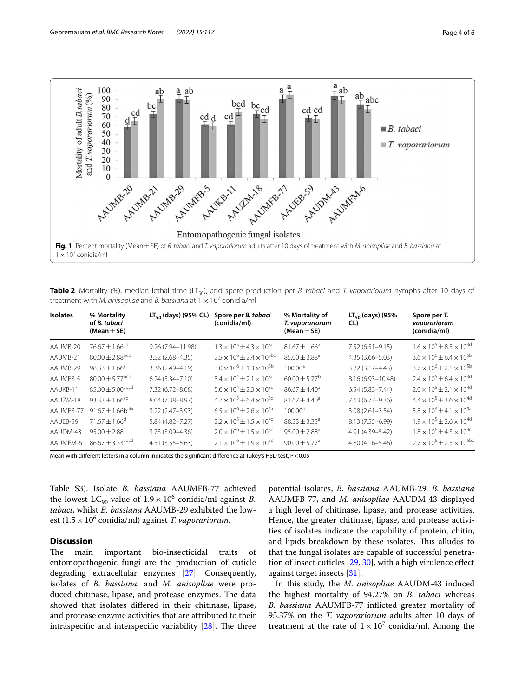

<span id="page-3-1"></span><span id="page-3-0"></span>**Table 2** Mortality (%), median lethal time (LT<sub>50</sub>), and spore production per *B. tabaci* and *T. vaporariorum* nymphs after 10 days of treatment with *M. anisopliae* and *B. bassiana* at  $1 \times 10^7$  conidia/ml

| <b>Isolates</b> | % Mortality<br>of B. tabaci<br>(Mean $\pm$ SE) | $LT_{50}$ (days) (95% CL) | Spore per B. tabaci<br>(conidia/ml)      | % Mortality of<br>T. vaporariorum<br>(Mean $\pm$ SE) | $LT_{50}$ (days) (95%<br>CL) | Spore per T.<br>vaporariorum<br>(conidia/ml) |
|-----------------|------------------------------------------------|---------------------------|------------------------------------------|------------------------------------------------------|------------------------------|----------------------------------------------|
| AAUMB-20        | $76.67 \pm 1.66^{cd}$                          | 9.26 (7.94-11.98)         | $1.3 \times 10^5 + 4.3 \times 10^{3d}$   | $81.67 \pm 1.66^a$                                   | $7.52(6.51 - 9.15)$          | $1.6 \times 10^5 \pm 8.5 \times 10^{3d}$     |
| AAUMB-21        | $80.00 \pm 2.88$ <sup>bcd</sup>                | $3.52(2.68 - 4.35)$       | $2.5 \times 10^6 \pm 2.4 \times 10^{5}$  | $85.00 \pm 2.88^a$                                   | $4.35(3.66 - 5.03)$          | $3.6 \times 10^6 \pm 6.4 \times 10^{5b}$     |
| AAUMB-29        | $98.33 \pm 1.66^a$                             | 3.36 (2.49-4.19)          | $3.0 \times 10^6 \pm 1.3 \times 10^{5b}$ | 100.00 <sup>a</sup>                                  | 3.82 (3.17-4.43)             | $3.7 \times 10^6 \pm 2.1 \times 10^{5b}$     |
| AAUMFB-5        | $80.00 \pm 5.77$ <sup>bcd</sup>                | $6.24(5.34 - 7.10)$       | $3.4 \times 10^4 \pm 2.1 \times 10^{3d}$ | $60.00 \pm 5.77^{\rm b}$                             | 8.16 (6.93-10.48)            | $2.4 \times 10^5 \pm 6.4 \times 10^{3d}$     |
| AAUKB-11        | $85.00 \pm 5.00^{\text{abcd}}$                 | 7.32 (6.72-8.08)          | $5.6 \times 10^4 + 2.3 \times 10^{3d}$   | $86.67 + 4.40^a$                                     | $6.54(5.83 - 7.44)$          | $2.0 \times 10^5 \pm 2.1 \times 10^{4d}$     |
| AAUZM-18        | $93.33 \pm 1.66^{ab}$                          | 8.04 (7.38-8.97)          | $4.7 \times 10^5 + 6.4 \times 10^{3d}$   | $81.67 \pm 4.40^a$                                   | 7.63 (6.77-9.36)             | $4.4 \times 10^5 \pm 3.6 \times 10^{4d}$     |
| AAUMFB-77       | 91.67 $\pm$ 1.66b <sup>abc</sup>               | $3.22(2.47 - 3.93)$       | $6.5 \times 10^6 \pm 2.6 \times 10^{5a}$ | 100.00 <sup>a</sup>                                  | $3.08(2.61 - 3.54)$          | $5.8 \times 10^6 \pm 4.1 \times 10^{5a}$     |
| AAUEB-59        | $71.67 \pm 1.66^{\circ}$                       | $5.84(4.82 - 7.27)$       | $2.2 \times 10^5 \pm 1.5 \times 10^{4d}$ | $88.33 \pm 3.33^a$                                   | 8.13 (7.55-6.99)             | $1.9 \times 10^5 \pm 2.6 \times 10^{4d}$     |
| AAUDM-43        | $95.00 \pm 2.88$ <sup>ab</sup>                 | 3.73 (3.09-4.36)          | $2.0 \times 10^6 \pm 1.5 \times 10^{5c}$ | $95.00 \pm 2.88^a$                                   | 4.91 (4.39-5.42)             | $1.8 \times 10^6 \pm 4.3 \times 10^{4c}$     |
| AAUMFM-6        | $86.67 \pm 3.33$ <sup>abcd</sup>               | $4.51(3.55 - 5.63)$       | $2.1 \times 10^6 \pm 1.9 \times 10^{5c}$ | $90.00 \pm 5.77$ <sup>a</sup>                        | $4.80(4.16 - 5.46)$          | $2.7 \times 10^6 \pm 2.5 \times 10^{5}$      |

Mean with diferent letters in a column indicates the signifcant diference at Tukey's HSD test, P<0.05

Table S3). Isolate *B. bassiana* AAUMFB-77 achieved the lowest  $LC_{90}$  value of  $1.9 \times 10^{6}$  conidia/ml against *B*. *tabaci*, whilst *B. bassiana* AAUMB-29 exhibited the lowest (1.5× 106 conidia/ml) against *T. vaporariorum.*

# **Discussion**

The main important bio-insecticidal traits of entomopathogenic fungi are the production of cuticle degrading extracellular enzymes [[27](#page-5-25)]. Consequently, isolates of *B. bassiana,* and *M. anisopliae* were produced chitinase, lipase, and protease enzymes. The data showed that isolates difered in their chitinase, lipase, and protease enzyme activities that are attributed to their intraspecific and interspecific variability  $[28]$ . The three

potential isolates, *B. bassiana* AAUMB-29*, B. bassiana* AAUMFB-77, and *M. anisopliae* AAUDM-43 displayed a high level of chitinase, lipase, and protease activities. Hence, the greater chitinase, lipase, and protease activities of isolates indicate the capability of protein, chitin, and lipids breakdown by these isolates. This alludes to that the fungal isolates are capable of successful penetration of insect cuticles [[29,](#page-5-27) [30\]](#page-5-28), with a high virulence efect against target insects [[31\]](#page-5-29).

In this study, the *M. anisopliae* AAUDM-43 induced the highest mortality of 94.27% on *B. tabaci* whereas *B. bassiana* AAUMFB-77 inficted greater mortality of 95.37% on the *T. vaporariorum* adults after 10 days of treatment at the rate of  $1 \times 10^7$  conidia/ml. Among the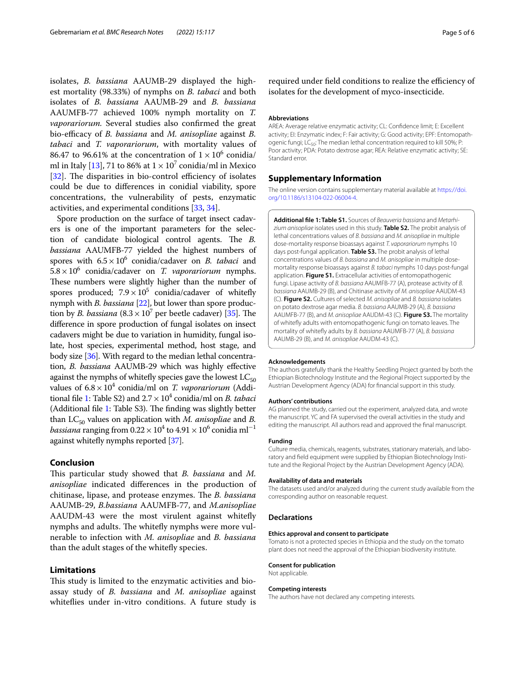isolates, *B. bassiana* AAUMB-29 displayed the highest mortality (98.33%) of nymphs on *B. tabaci* and both isolates of *B. bassiana* AAUMB-29 and *B. bassiana* AAUMFB-77 achieved 100% nymph mortality on *T. vaporariorum.* Several studies also confrmed the great bio-efficacy of *B. bassiana* and *M. anisopliae* against *B. tabaci* and *T. vaporariorum*, with mortality values of 86.47 to 96.61% at the concentration of  $1 \times 10^6$  conidia/ ml in Italy [\[13](#page-5-11)], 71 to 86% at  $1 \times 10^7$  conidia/ml in Mexico [[32\]](#page-5-30). The disparities in bio-control efficiency of isolates could be due to diferences in conidial viability, spore concentrations, the vulnerability of pests, enzymatic activities, and experimental conditions [\[33,](#page-5-31) [34](#page-5-32)].

Spore production on the surface of target insect cadavers is one of the important parameters for the selection of candidate biological control agents. The *B*. *bassiana* AAUMFB-77 yielded the highest numbers of spores with  $6.5 \times 10^6$  conidia/cadaver on *B. tabaci* and  $5.8 \times 10^6$  conidia/cadaver on *T. vaporariorum* nymphs. These numbers were slightly higher than the number of spores produced;  $7.9 \times 10^5$  conidia/cadaver of whitefly nymph with *B. bassiana* [\[22](#page-5-20)], but lower than spore production by *B. bassiana*  $(8.3 \times 10^7 \text{ per beetle cadaver})$  [[35](#page-5-33)]. The diference in spore production of fungal isolates on insect cadavers might be due to variation in humidity, fungal isolate, host species, experimental method, host stage, and body size [\[36](#page-5-34)]. With regard to the median lethal concentration, *B. bassiana* AAUMB-29 which was highly efective against the nymphs of whitefly species gave the lowest  $LC_{50}$ values of  $6.8 \times 10^4$  conidia/ml on *T. vaporariorum* (Addi-tional file [1:](#page-4-0) Table S2) and  $2.7 \times 10^4$  conidia/ml on *B. tabaci* (Additional file  $1$ : Table S3). The finding was slightly better than  $LC_{50}$  values on application with *M. anisopliae* and *B. bassiana* ranging from  $0.22 \times 10^4$  to  $4.91 \times 10^6$  conidia ml<sup>-1</sup> against whitefy nymphs reported [[37](#page-5-35)].

#### **Conclusion**

This particular study showed that *B. bassiana* and *M. anisopliae* indicated diferences in the production of chitinase, lipase, and protease enzymes. The *B. bassiana* AAUMB-29, *B.bassiana* AAUMFB-77, and *M.anisopliae* AAUDM-43 were the most virulent against whitefy nymphs and adults. The whitefly nymphs were more vulnerable to infection with *M. anisopliae* and *B. bassiana* than the adult stages of the whitefy species.

# **Limitations**

This study is limited to the enzymatic activities and bioassay study of *B. bassiana* and *M. anisopliae* against whitefies under in-vitro conditions. A future study is

required under field conditions to realize the efficiency of isolates for the development of myco-insecticide.

#### **Abbreviations**

AREA: Average relative enzymatic activity; CL: Confdence limit; E: Excellent activity; EI: Enzymatic index; F: Fair activity; G: Good activity; EPF: Entomopathogenic fungi; LC<sub>50</sub>: The median lethal concentration required to kill 50%; P: Poor activity; PDA: Potato dextrose agar; REA: Relative enzymatic activity; SE: Standard error.

#### **Supplementary Information**

The online version contains supplementary material available at [https://doi.](https://doi.org/10.1186/s13104-022-06004-4) [org/10.1186/s13104-022-06004-4](https://doi.org/10.1186/s13104-022-06004-4).

<span id="page-4-0"></span>**Additional fle 1: Table S1.** Sources of *Beauveria bassiana* and *Metarhizium anisopliae* isolates used in this study. **Table S2.** The probit analysis of lethal concentrations values of *B. bassiana* and *M. anisopliae* in multiple dose-mortality response bioassays against *T. vaporariorum* nymphs 10 days post-fungal application. **Table S3.** The probit analysis of lethal concentrations values of *B. bassiana* and *M. anisopliae* in multiple dosemortality response bioassays against *B. tabaci* nymphs 10 days post-fungal application. **Figure S1.** Extracellular activities of entomopathogenic fungi. Lipase activity of *B. bassiana* AAUMFB-77 (A), protease activity of *B. bassiana* AAUMB-29 (B), and Chitinase activity of *M. anisopliae* AAUDM-43 (C). **Figure S2.** Cultures of selected *M. anisopliae* and *B. bassiana* isolates on potato dextrose agar media. *B. bassiana* AAUMB-29 (A), *B. bassiana*  AAUMFB-77 (B), and *M. anisopliae* AAUDM-43 (C). **Figure S3.** The mortality of whitefy adults with entomopathogenic fungi on tomato leaves. The mortality of whitefy adults by *B. bassiana* AAUMFB-77 (A), *B. bassiana*  AAUMB-29 (B), and *M. anisopliae* AAUDM-43 (C).

#### **Acknowledgements**

The authors gratefully thank the Healthy Seedling Project granted by both the Ethiopian Biotechnology Institute and the Regional Project supported by the Austrian Development Agency (ADA) for fnancial support in this study.

#### **Authors' contributions**

AG planned the study, carried out the experiment, analyzed data, and wrote the manuscript. YC and FA supervised the overall activities in the study and editing the manuscript. All authors read and approved the fnal manuscript.

#### **Funding**

Culture media, chemicals, reagents, substrates, stationary materials, and laboratory and feld equipment were supplied by Ethiopian Biotechnology Institute and the Regional Project by the Austrian Development Agency (ADA).

#### **Availability of data and materials**

The datasets used and/or analyzed during the current study available from the corresponding author on reasonable request.

#### **Declarations**

#### **Ethics approval and consent to participate**

Tomato is not a protected species in Ethiopia and the study on the tomato plant does not need the approval of the Ethiopian biodiversity institute.

#### **Consent for publication**

Not applicable.

#### **Competing interests**

The authors have not declared any competing interests.